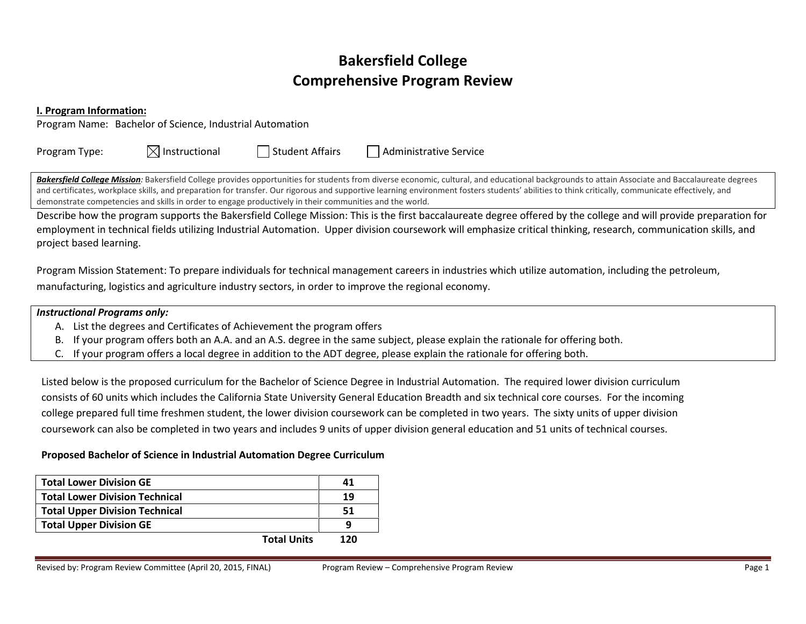# Bakersfield College Comprehensive Program Review

#### I. Program Information:

Program Name: Bachelor of Science, Industrial Automation

| $\boxtimes$ Instructional<br>Program Type: | Student Affairs | Administrative Service |
|--------------------------------------------|-----------------|------------------------|
|--------------------------------------------|-----------------|------------------------|

Bakersfield College Mission: Bakersfield College provides opportunities for students from diverse economic, cultural, and educational backgrounds to attain Associate and Baccalaureate degrees and certificates, workplace skills, and preparation for transfer. Our rigorous and supportive learning environment fosters students' abilities to think critically, communicate effectively, and demonstrate competencies and skills in order to engage productively in their communities and the world.

Describe how the program supports the Bakersfield College Mission: This is the first baccalaureate degree offered by the college and will provide preparation for employment in technical fields utilizing Industrial Automation. Upper division coursework will emphasize critical thinking, research, communication skills, and project based learning.

Program Mission Statement: To prepare individuals for technical management careers in industries which utilize automation, including the petroleum, manufacturing, logistics and agriculture industry sectors, in order to improve the regional economy.

#### Instructional Programs only:

- A. List the degrees and Certificates of Achievement the program offers
- B. If your program offers both an A.A. and an A.S. degree in the same subject, please explain the rationale for offering both.
- C. If your program offers a local degree in addition to the ADT degree, please explain the rationale for offering both.

Listed below is the proposed curriculum for the Bachelor of Science Degree in Industrial Automation. The required lower division curriculum consists of 60 units which includes the California State University General Education Breadth and six technical core courses. For the incoming college prepared full time freshmen student, the lower division coursework can be completed in two years. The sixty units of upper division coursework can also be completed in two years and includes 9 units of upper division general education and 51 units of technical courses.

#### Proposed Bachelor of Science in Industrial Automation Degree Curriculum

| <b>Total Lower Division GE</b>        | 41  |
|---------------------------------------|-----|
| <b>Total Lower Division Technical</b> | 19  |
| <b>Total Upper Division Technical</b> | 51  |
| <b>Total Upper Division GE</b>        | q   |
| <b>Total Units</b>                    | 120 |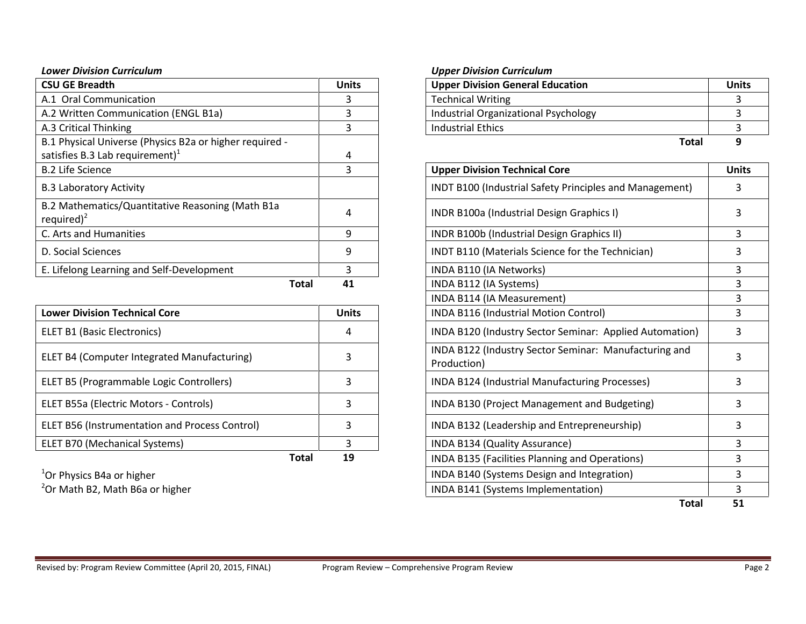## Lower Division Curriculum

| <b>CSU GE Breadth</b>                                             | <b>Units</b> | <b>Upper Division General Education</b>                 | Uni |
|-------------------------------------------------------------------|--------------|---------------------------------------------------------|-----|
| A.1 Oral Communication                                            |              | <b>Technical Writing</b>                                |     |
| A.2 Written Communication (ENGL B1a)                              |              | Industrial Organizational Psychology                    |     |
| A.3 Critical Thinking                                             |              | <b>Industrial Ethics</b>                                |     |
| B.1 Physical Universe (Physics B2a or higher required -           |              | <b>Total</b>                                            | 9   |
| satisfies B.3 Lab requirement) $1$                                | 4            |                                                         |     |
| <b>B.2 Life Science</b>                                           |              | <b>Upper Division Technical Core</b>                    | Uni |
| <b>B.3 Laboratory Activity</b>                                    |              | INDT B100 (Industrial Safety Principles and Management) | 3   |
| B.2 Mathematics/Quantitative Reasoning (Math B1a<br>required) $2$ | 4            | INDR B100a (Industrial Design Graphics I)               |     |
| C. Arts and Humanities                                            | ٩            | <b>INDR B100b (Industrial Design Graphics II)</b>       |     |
| D. Social Sciences                                                | ٩            | INDT B110 (Materials Science for the Technician)        |     |
| E. Lifelong Learning and Self-Development                         | 3            | INDA B110 (IA Networks)                                 |     |
| Total                                                             | 41           | INDA B112 (IA Systems)                                  |     |

| <b>Lower Division Technical Core</b>                  | <b>Units</b> | INDA B116 (Industrial Motion Control)                                |   |
|-------------------------------------------------------|--------------|----------------------------------------------------------------------|---|
| <b>ELET B1 (Basic Electronics)</b>                    |              | INDA B120 (Industry Sector Seminar: Applied Automation)              | 3 |
| ELET B4 (Computer Integrated Manufacturing)           |              | INDA B122 (Industry Sector Seminar: Manufacturing and<br>Production) |   |
| ELET B5 (Programmable Logic Controllers)              |              | INDA B124 (Industrial Manufacturing Processes)                       |   |
| ELET B55a (Electric Motors - Controls)                |              | INDA B130 (Project Management and Budgeting)                         |   |
| <b>ELET B56 (Instrumentation and Process Control)</b> |              | INDA B132 (Leadership and Entrepreneurship)                          |   |
| <b>ELET B70 (Mechanical Systems)</b>                  |              | INDA B134 (Quality Assurance)                                        |   |
| Total                                                 | 19           | INDA B135 (Facilities Planning and Operations)                       |   |

 $1$ Or Physics B4a or higher

<sup>2</sup>Or Math B2, Math B6a or higher

# Upper Division Curriculum

|                                           | Units | <b>Upper Division General Education</b> | <b>Units</b> |
|-------------------------------------------|-------|-----------------------------------------|--------------|
| nunication                                |       | <b>Technical Writing</b>                |              |
| mmunication (ENGL B1a)                    |       | Industrial Organizational Psychology    |              |
| าking                                     |       | Industrial Ethics                       |              |
| ijverse (Physics B2a or higher required - |       | Total                                   |              |

|                    | 3            | <b>Upper Division Technical Core</b>                                 | <b>Units</b> |
|--------------------|--------------|----------------------------------------------------------------------|--------------|
|                    |              | INDT B100 (Industrial Safety Principles and Management)              | 3            |
| easoning (Math B1a | 4            | INDR B100a (Industrial Design Graphics I)                            | 3            |
|                    | 9            | INDR B100b (Industrial Design Graphics II)                           | 3            |
|                    | 9            | INDT B110 (Materials Science for the Technician)                     | 3            |
| elopment           | 3            | INDA B110 (IA Networks)                                              | 3            |
| <b>Total</b>       | 41           | INDA B112 (IA Systems)                                               | 3            |
|                    |              | INDA B114 (IA Measurement)                                           | 3            |
|                    | <b>Units</b> | INDA B116 (Industrial Motion Control)                                | 3            |
|                    | 4            | INDA B120 (Industry Sector Seminar: Applied Automation)              | 3            |
| Aanufacturing)     | 3            | INDA B122 (Industry Sector Seminar: Manufacturing and<br>Production) | 3            |
| ontrollers)        | 3            | INDA B124 (Industrial Manufacturing Processes)                       | 3            |
| itrols)            | 3            | INDA B130 (Project Management and Budgeting)                         | 3            |
| Process Control)   | 3            | INDA B132 (Leadership and Entrepreneurship)                          | 3            |
|                    | 3            | INDA B134 (Quality Assurance)                                        | 3            |
| <b>Total</b>       | 19           | INDA B135 (Facilities Planning and Operations)                       | 3            |
|                    |              | INDA B140 (Systems Design and Integration)                           | 3            |
| r                  |              | INDA B141 (Systems Implementation)                                   | 3            |
|                    |              | <b>Total</b>                                                         | 51           |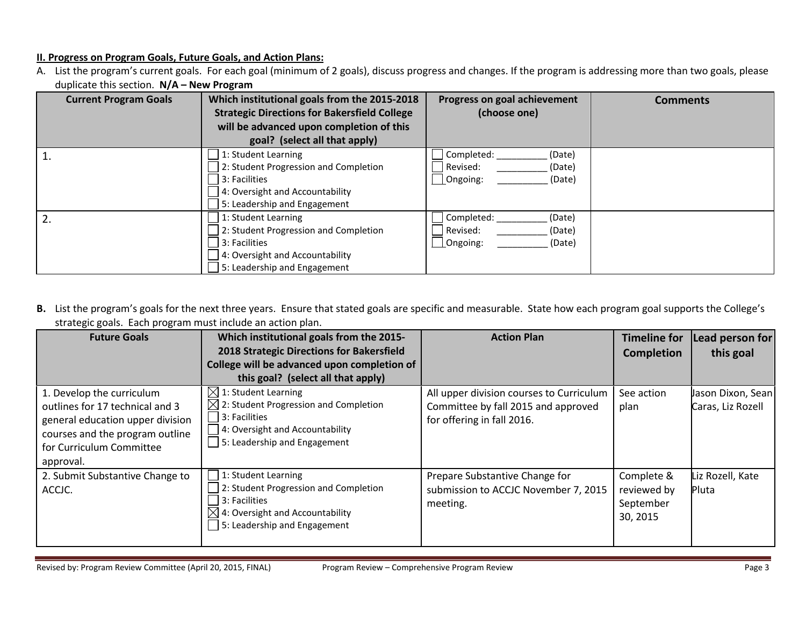## II. Progress on Program Goals, Future Goals, and Action Plans:

A. List the program's current goals. For each goal (minimum of 2 goals), discuss progress and changes. If the program is addressing more than two goals, please duplicate this section. N/A – New Program

| <b>Current Program Goals</b> | Which institutional goals from the 2015-2018<br><b>Strategic Directions for Bakersfield College</b><br>will be advanced upon completion of this<br>goal? (select all that apply) | Progress on goal achievement<br>(choose one)                      | <b>Comments</b> |
|------------------------------|----------------------------------------------------------------------------------------------------------------------------------------------------------------------------------|-------------------------------------------------------------------|-----------------|
|                              | 1: Student Learning<br>2: Student Progression and Completion<br>3: Facilities<br>4: Oversight and Accountability<br>5: Leadership and Engagement                                 | Completed:<br>(Date)<br>Revised:<br>(Date)<br>Ongoing:<br>(Date)  |                 |
|                              | 1: Student Learning<br>2: Student Progression and Completion<br>13: Facilities<br>4: Oversight and Accountability<br>5: Leadership and Engagement                                | Completed:<br>(Date)<br>(Date)<br>Revised:<br>[Ongoing:<br>(Date) |                 |

B. List the program's goals for the next three years. Ensure that stated goals are specific and measurable. State how each program goal supports the College's strategic goals. Each program must include an action plan.

| <b>Future Goals</b>                                                                                                                                                          | Which institutional goals from the 2015-<br>2018 Strategic Directions for Bakersfield<br>College will be advanced upon completion of<br>this goal? (select all that apply)             | <b>Action Plan</b>                                                                                            | <b>Timeline for</b><br>Completion                  | Lead person for<br>this goal           |
|------------------------------------------------------------------------------------------------------------------------------------------------------------------------------|----------------------------------------------------------------------------------------------------------------------------------------------------------------------------------------|---------------------------------------------------------------------------------------------------------------|----------------------------------------------------|----------------------------------------|
| 1. Develop the curriculum<br>outlines for 17 technical and 3<br>general education upper division<br>courses and the program outline<br>for Curriculum Committee<br>approval. | $\boxtimes$ 1: Student Learning<br>$\boxtimes$ 2: Student Progression and Completion<br>3: Facilities<br>4: Oversight and Accountability<br>5: Leadership and Engagement               | All upper division courses to Curriculum<br>Committee by fall 2015 and approved<br>for offering in fall 2016. | See action<br>plan                                 | Jason Dixon, Sean<br>Caras, Liz Rozell |
| 2. Submit Substantive Change to<br>ACCJC.                                                                                                                                    | 1: Student Learning<br>2: Student Progression and Completion<br>13: Facilities<br>$\boxtimes$ 4: Oversight and Accountability<br>$\overline{\phantom{a}}$ 5: Leadership and Engagement | Prepare Substantive Change for<br>submission to ACCJC November 7, 2015<br>meeting.                            | Complete &<br>reviewed by<br>September<br>30, 2015 | Liz Rozell, Kate<br>Pluta              |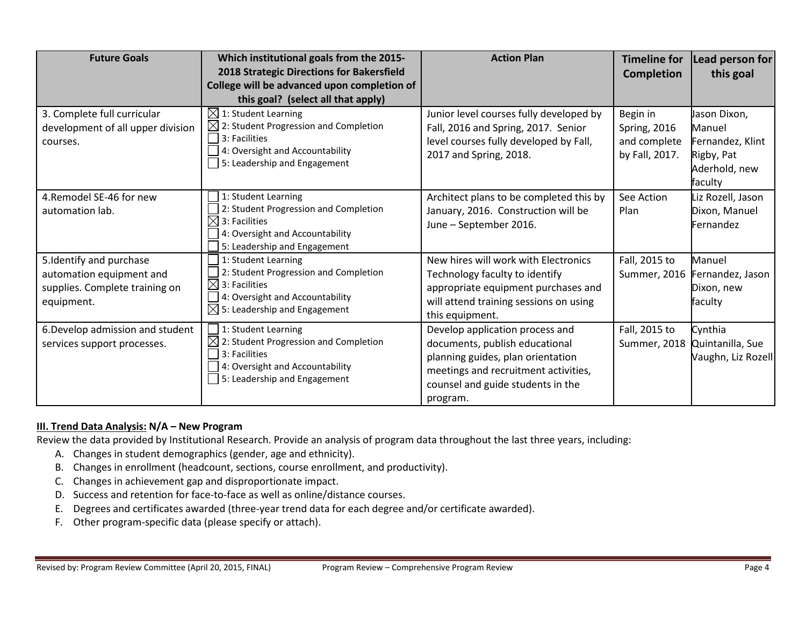| <b>Future Goals</b>                                                                                 | Which institutional goals from the 2015-<br>2018 Strategic Directions for Bakersfield<br>College will be advanced upon completion of<br>this goal? (select all that apply) | <b>Action Plan</b>                                                                                                                                                                              | <b>Timeline for</b><br><b>Completion</b>                          | Lead person for<br>this goal                                                         |
|-----------------------------------------------------------------------------------------------------|----------------------------------------------------------------------------------------------------------------------------------------------------------------------------|-------------------------------------------------------------------------------------------------------------------------------------------------------------------------------------------------|-------------------------------------------------------------------|--------------------------------------------------------------------------------------|
| 3. Complete full curricular<br>development of all upper division<br>courses.                        | $\boxtimes$ 1: Student Learning<br>$\boxtimes$ 2: Student Progression and Completion<br>3: Facilities<br>4: Oversight and Accountability<br>5: Leadership and Engagement   | Junior level courses fully developed by<br>Fall, 2016 and Spring, 2017. Senior<br>level courses fully developed by Fall,<br>2017 and Spring, 2018.                                              | Begin in<br><b>Spring, 2016</b><br>and complete<br>by Fall, 2017. | Jason Dixon,<br>Manuel<br>Fernandez, Klint<br>Rigby, Pat<br>Aderhold, new<br>faculty |
| 4.Remodel SE-46 for new<br>automation lab.                                                          | 1: Student Learning<br>2: Student Progression and Completion<br>$\boxtimes$ 3: Facilities<br>4: Oversight and Accountability<br>5: Leadership and Engagement               | Architect plans to be completed this by<br>January, 2016. Construction will be<br>June - September 2016.                                                                                        | See Action<br>Plan                                                | Liz Rozell, Jason<br>Dixon, Manuel<br>Fernandez                                      |
| 5.Identify and purchase<br>automation equipment and<br>supplies. Complete training on<br>equipment. | 1: Student Learning<br>2: Student Progression and Completion<br>$\boxtimes$ 3: Facilities<br>4: Oversight and Accountability<br>$\boxtimes$ 5: Leadership and Engagement   | New hires will work with Electronics<br>Technology faculty to identify<br>appropriate equipment purchases and<br>will attend training sessions on using<br>this equipment.                      | Fall, 2015 to<br>Summer, 2016                                     | Manuel<br>Fernandez, Jason<br>Dixon, new<br>faculty                                  |
| 6. Develop admission and student<br>services support processes.                                     | 1: Student Learning<br>$\boxtimes$ 2: Student Progression and Completion<br>3: Facilities<br>4: Oversight and Accountability<br>$\Box$ 5: Leadership and Engagement        | Develop application process and<br>documents, publish educational<br>planning guides, plan orientation<br>meetings and recruitment activities,<br>counsel and guide students in the<br>program. | Fall, 2015 to<br>Summer, 2018                                     | Cynthia<br>Quintanilla, Sue<br>Vaughn, Liz Rozell                                    |

# III. Trend Data Analysis: N/A – New Program

Review the data provided by Institutional Research. Provide an analysis of program data throughout the last three years, including:

- A. Changes in student demographics (gender, age and ethnicity).
- B. Changes in enrollment (headcount, sections, course enrollment, and productivity).
- C. Changes in achievement gap and disproportionate impact.
- D. Success and retention for face-to-face as well as online/distance courses.
- E. Degrees and certificates awarded (three-year trend data for each degree and/or certificate awarded).
- F. Other program-specific data (please specify or attach).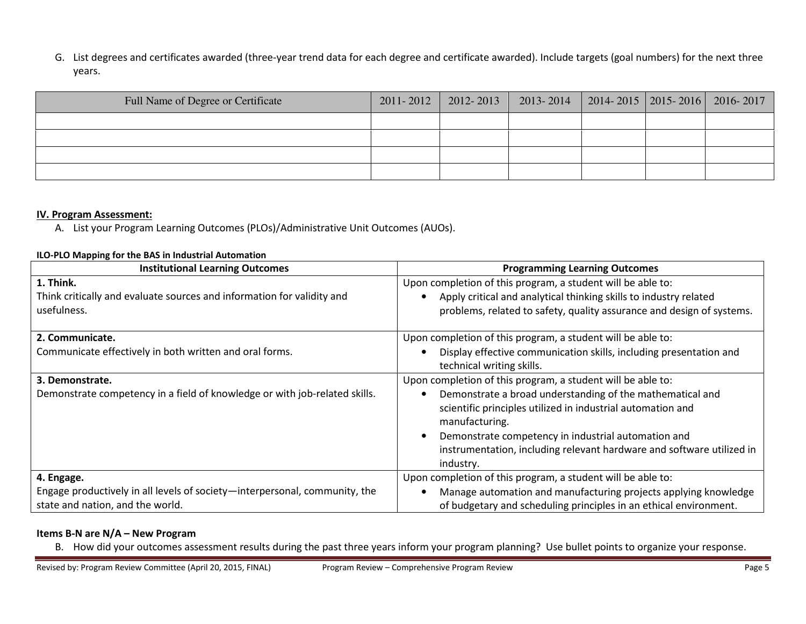G. List degrees and certificates awarded (three-year trend data for each degree and certificate awarded). Include targets (goal numbers) for the next three years.

| Full Name of Degree or Certificate | 2011-2012 | 2012-2013 | $2013 - 2014$   2014 - 2015   2015 - 2016   2016 - 2017 |  |  |
|------------------------------------|-----------|-----------|---------------------------------------------------------|--|--|
|                                    |           |           |                                                         |  |  |
|                                    |           |           |                                                         |  |  |
|                                    |           |           |                                                         |  |  |
|                                    |           |           |                                                         |  |  |

#### IV. Program Assessment:

A. List your Program Learning Outcomes (PLOs)/Administrative Unit Outcomes (AUOs).

#### ILO-PLO Mapping for the BAS in Industrial Automation

| <b>Institutional Learning Outcomes</b>                                     | <b>Programming Learning Outcomes</b>                                                                                                       |
|----------------------------------------------------------------------------|--------------------------------------------------------------------------------------------------------------------------------------------|
| 1. Think.                                                                  | Upon completion of this program, a student will be able to:                                                                                |
| Think critically and evaluate sources and information for validity and     | Apply critical and analytical thinking skills to industry related                                                                          |
| usefulness.                                                                | problems, related to safety, quality assurance and design of systems.                                                                      |
| 2. Communicate.                                                            | Upon completion of this program, a student will be able to:                                                                                |
| Communicate effectively in both written and oral forms.                    | Display effective communication skills, including presentation and<br>technical writing skills.                                            |
| 3. Demonstrate.                                                            | Upon completion of this program, a student will be able to:                                                                                |
| Demonstrate competency in a field of knowledge or with job-related skills. | Demonstrate a broad understanding of the mathematical and<br>scientific principles utilized in industrial automation and<br>manufacturing. |
|                                                                            | Demonstrate competency in industrial automation and<br>instrumentation, including relevant hardware and software utilized in<br>industry.  |
| 4. Engage.                                                                 | Upon completion of this program, a student will be able to:                                                                                |
| Engage productively in all levels of society-interpersonal, community, the | Manage automation and manufacturing projects applying knowledge                                                                            |
| state and nation, and the world.                                           | of budgetary and scheduling principles in an ethical environment.                                                                          |

# Items B-N are N/A – New Program

B. How did your outcomes assessment results during the past three years inform your program planning? Use bullet points to organize your response.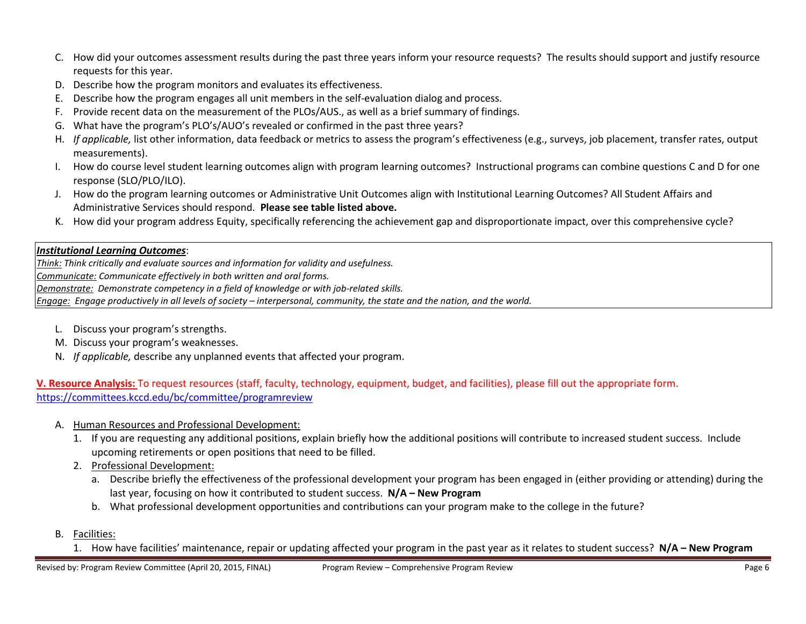- C. How did your outcomes assessment results during the past three years inform your resource requests? The results should support and justify resource requests for this year.
- D. Describe how the program monitors and evaluates its effectiveness.
- E. Describe how the program engages all unit members in the self-evaluation dialog and process.
- F. Provide recent data on the measurement of the PLOs/AUS., as well as a brief summary of findings.
- G. What have the program's PLO's/AUO's revealed or confirmed in the past three years?
- H. If applicable, list other information, data feedback or metrics to assess the program's effectiveness (e.g., surveys, job placement, transfer rates, output measurements).
- I. How do course level student learning outcomes align with program learning outcomes? Instructional programs can combine questions C and D for one response (SLO/PLO/ILO).
- J. How do the program learning outcomes or Administrative Unit Outcomes align with Institutional Learning Outcomes? All Student Affairs and Administrative Services should respond. Please see table listed above.
- K. How did your program address Equity, specifically referencing the achievement gap and disproportionate impact, over this comprehensive cycle?

## Institutional Learning Outcomes:

Think: Think critically and evaluate sources and information for validity and usefulness.

Communicate: Communicate effectively in both written and oral forms.

Demonstrate: Demonstrate competency in a field of knowledge or with job-related skills.

Engage: Engage productively in all levels of society – interpersonal, community, the state and the nation, and the world.

- L. Discuss your program's strengths.
- M. Discuss your program's weaknesses.
- N. If applicable, describe any unplanned events that affected your program.

V. Resource Analysis: To request resources (staff, faculty, technology, equipment, budget, and facilities), please fill out the appropriate form. https://committees.kccd.edu/bc/committee/programreview

- A. Human Resources and Professional Development:
	- 1. If you are requesting any additional positions, explain briefly how the additional positions will contribute to increased student success. Include upcoming retirements or open positions that need to be filled.
	- 2. Professional Development:
		- a. Describe briefly the effectiveness of the professional development your program has been engaged in (either providing or attending) during the last year, focusing on how it contributed to student success. N/A – New Program
		- b. What professional development opportunities and contributions can your program make to the college in the future?
- B. <u>Facilities:</u>
	- 1. How have facilities' maintenance, repair or updating affected your program in the past year as it relates to student success? N/A New Program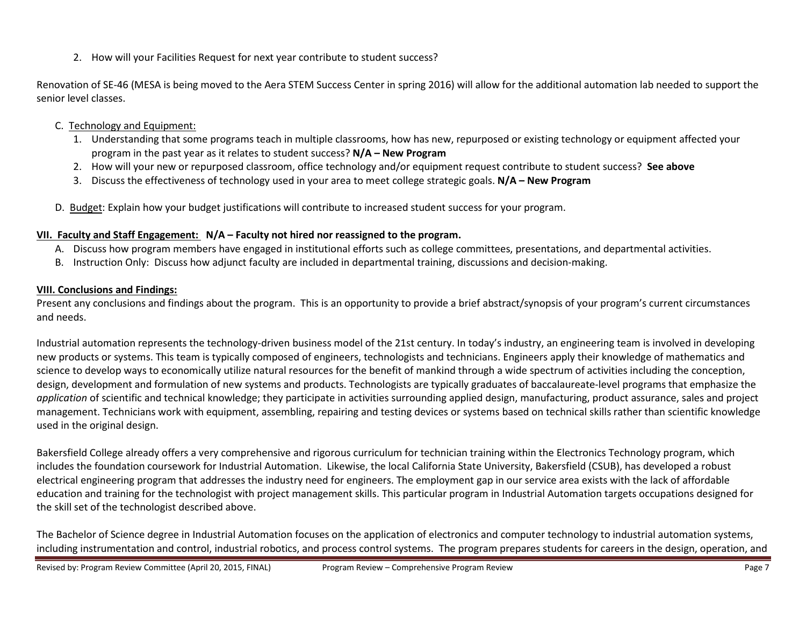2. How will your Facilities Request for next year contribute to student success?

Renovation of SE-46 (MESA is being moved to the Aera STEM Success Center in spring 2016) will allow for the additional automation lab needed to support the senior level classes.

- C. Technology and Equipment:
	- 1. Understanding that some programs teach in multiple classrooms, how has new, repurposed or existing technology or equipment affected your program in the past year as it relates to student success? N/A – New Program
	- 2. How will your new or repurposed classroom, office technology and/or equipment request contribute to student success? See above
	- 3. Discuss the effectiveness of technology used in your area to meet college strategic goals. N/A New Program
- D. Budget: Explain how your budget justifications will contribute to increased student success for your program.

# VII. Faculty and Staff Engagement: N/A – Faculty not hired nor reassigned to the program.

- A. Discuss how program members have engaged in institutional efforts such as college committees, presentations, and departmental activities.
- B. Instruction Only: Discuss how adjunct faculty are included in departmental training, discussions and decision-making.

# VIII. Conclusions and Findings:

Present any conclusions and findings about the program. This is an opportunity to provide a brief abstract/synopsis of your program's current circumstances and needs.

Industrial automation represents the technology-driven business model of the 21st century. In today's industry, an engineering team is involved in developing new products or systems. This team is typically composed of engineers, technologists and technicians. Engineers apply their knowledge of mathematics and science to develop ways to economically utilize natural resources for the benefit of mankind through a wide spectrum of activities including the conception, design, development and formulation of new systems and products. Technologists are typically graduates of baccalaureate-level programs that emphasize the application of scientific and technical knowledge; they participate in activities surrounding applied design, manufacturing, product assurance, sales and project management. Technicians work with equipment, assembling, repairing and testing devices or systems based on technical skills rather than scientific knowledge used in the original design.

Bakersfield College already offers a very comprehensive and rigorous curriculum for technician training within the Electronics Technology program, which includes the foundation coursework for Industrial Automation. Likewise, the local California State University, Bakersfield (CSUB), has developed a robust electrical engineering program that addresses the industry need for engineers. The employment gap in our service area exists with the lack of affordable education and training for the technologist with project management skills. This particular program in Industrial Automation targets occupations designed for the skill set of the technologist described above.

The Bachelor of Science degree in Industrial Automation focuses on the application of electronics and computer technology to industrial automation systems, including instrumentation and control, industrial robotics, and process control systems. The program prepares students for careers in the design, operation, and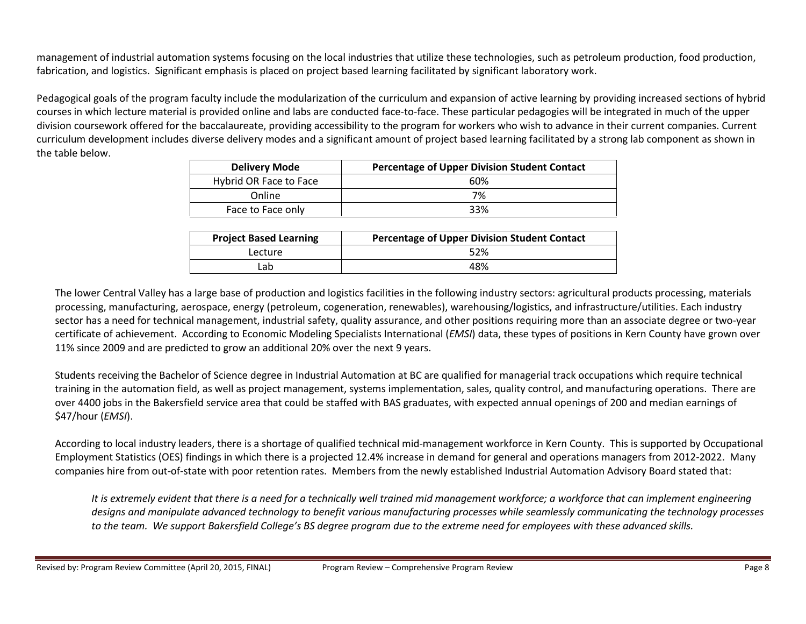management of industrial automation systems focusing on the local industries that utilize these technologies, such as petroleum production, food production, fabrication, and logistics. Significant emphasis is placed on project based learning facilitated by significant laboratory work.

Pedagogical goals of the program faculty include the modularization of the curriculum and expansion of active learning by providing increased sections of hybrid courses in which lecture material is provided online and labs are conducted face-to-face. These particular pedagogies will be integrated in much of the upper division coursework offered for the baccalaureate, providing accessibility to the program for workers who wish to advance in their current companies. Current curriculum development includes diverse delivery modes and a significant amount of project based learning facilitated by a strong lab component as shown in the table below.

| <b>Delivery Mode</b>   | <b>Percentage of Upper Division Student Contact</b> |
|------------------------|-----------------------------------------------------|
| Hybrid OR Face to Face | 60%                                                 |
| Online                 | 7%                                                  |
| Face to Face only      | 33%                                                 |

| <b>Project Based Learning</b> | <b>Percentage of Upper Division Student Contact</b> |
|-------------------------------|-----------------------------------------------------|
| Lecture                       | 52%                                                 |
| ∟ab                           | 48%                                                 |

The lower Central Valley has a large base of production and logistics facilities in the following industry sectors: agricultural products processing, materials processing, manufacturing, aerospace, energy (petroleum, cogeneration, renewables), warehousing/logistics, and infrastructure/utilities. Each industry sector has a need for technical management, industrial safety, quality assurance, and other positions requiring more than an associate degree or two-year certificate of achievement. According to Economic Modeling Specialists International (EMSI) data, these types of positions in Kern County have grown over 11% since 2009 and are predicted to grow an additional 20% over the next 9 years.

Students receiving the Bachelor of Science degree in Industrial Automation at BC are qualified for managerial track occupations which require technical training in the automation field, as well as project management, systems implementation, sales, quality control, and manufacturing operations. There are over 4400 jobs in the Bakersfield service area that could be staffed with BAS graduates, with expected annual openings of 200 and median earnings of \$47/hour (EMSI).

According to local industry leaders, there is a shortage of qualified technical mid-management workforce in Kern County. This is supported by Occupational Employment Statistics (OES) findings in which there is a projected 12.4% increase in demand for general and operations managers from 2012-2022. Many companies hire from out-of-state with poor retention rates. Members from the newly established Industrial Automation Advisory Board stated that:

It is extremely evident that there is a need for a technically well trained mid management workforce; a workforce that can implement engineering designs and manipulate advanced technology to benefit various manufacturing processes while seamlessly communicating the technology processes to the team. We support Bakersfield College's BS degree program due to the extreme need for employees with these advanced skills.